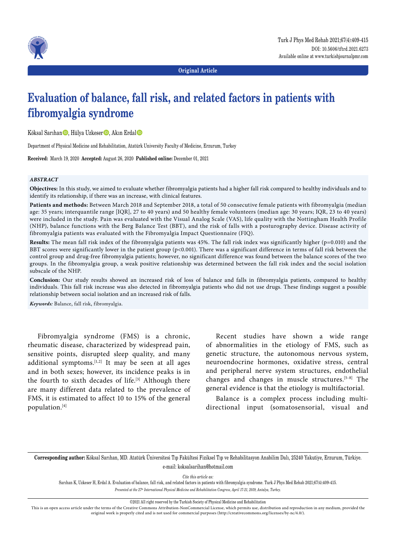

**Original Article**

# **Evaluation of balance, fall risk, and related factors in patients with fibromyalgia syndrome**

Köksal Sarıhan<sup>,</sup> Hülya Uzkeser<sup>,</sup> Akın Erdal

Department of Physical Medicine and Rehabilitation, Atatürk University Faculty of Medicine, Erzurum, Turkey

**Received:** March 19, 2020 **Accepted:** August 26, 2020 **Published online:** December 01, 2021

## *ABSTRACT*

**Objectives:** In this study, we aimed to evaluate whether fibromyalgia patients had a higher fall risk compared to healthy individuals and to identify its relationship, if there was an increase, with clinical features.

**Patients and methods:** Between March 2018 and September 2018, a total of 50 consecutive female patients with fibromyalgia (median age: 35 years; interquantile range [IQR], 27 to 40 years) and 50 healthy female volunteers (median age: 30 years; IQR, 23 to 40 years) were included in the study. Pain was evaluated with the Visual Analog Scale (VAS), life quality with the Nottingham Health Profile (NHP), balance functions with the Berg Balance Test (BBT), and the risk of falls with a posturography device. Disease activity of fibromyalgia patients was evaluated with the Fibromyalgia Impact Questionnaire (FIQ).

**Results:** The mean fall risk index of the fibromyalgia patients was 45%. The fall risk index was significantly higher (p=0.010) and the BBT scores were significantly lower in the patient group (p<0.001). There was a significant difference in terms of fall risk between the control group and drug-free fibromyalgia patients; however, no significant difference was found between the balance scores of the two groups. In the fibromyalgia group, a weak positive relationship was determined between the fall risk index and the social isolation subscale of the NHP.

**Conclusion:** Our study results showed an increased risk of loss of balance and falls in fibromyalgia patients, compared to healthy individuals. This fall risk increase was also detected in fibromyalgia patients who did not use drugs. These findings suggest a possible relationship between social isolation and an increased risk of falls.

*Keywords:* Balance, fall risk, fibromyalgia.

Fibromyalgia syndrome (FMS) is a chronic, rheumatic disease, characterized by widespread pain, sensitive points, disrupted sleep quality, and many additional symptoms. $[1,2]$  It may be seen at all ages and in both sexes; however, its incidence peaks is in the fourth to sixth decades of life.<sup>[3]</sup> Although there are many different data related to the prevalence of FMS, it is estimated to affect 10 to 15% of the general population.[4]

Recent studies have shown a wide range of abnormalities in the etiology of FMS, such as genetic structure, the autonomous nervous system, neuroendocrine hormones, oxidative stress, central and peripheral nerve system structures, endothelial changes and changes in muscle structures.[5-8] The general evidence is that the etiology is multifactorial.

Balance is a complex process including multidirectional input (somatosensorial, visual and

**Corresponding author:** Köksal Sarıhan, MD. Atatürk Üniversitesi Tıp Fakültesi Fiziksel Tıp ve Rehabilitasyon Anabilim Dalı, 25240 Yakutiye, Erzurum, Türkiye. e-mail: koksalsarihan@hotmail.com

*Cite this article as:*

Sarıhan K, Uzkeser H, Erdal A. Evaluation of balance, fall risk, and related factors in patients with fibromyalgia syndrome. Turk J Phys Med Rehab 2021;67(4):409-415. *Presented at the 27th International Physical Medicine and Rehabilitation Congress, April 17-21, 2019, Antalya, Turkey.*

©2021 All right reserved by the Turkish Society of Physical Medicine and Rehabilitation

This is an open access article under the terms of the Creative Commons Attribution-NonCommercial License, which permits use, distribution and reproduction in any medium, provided the original work is properly cited and is not used for commercial purposes (http://creativecommons.org/licenses/by-nc/4.0/).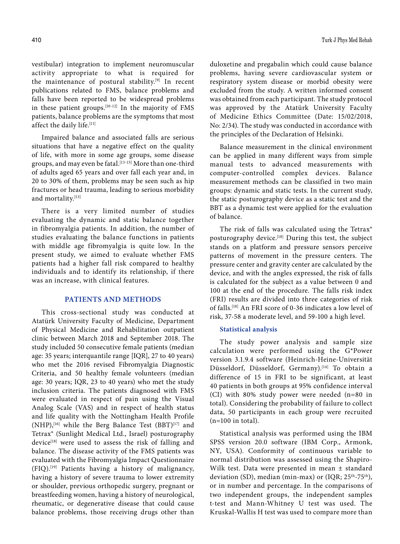vestibular) integration to implement neuromuscular activity appropriate to what is required for the maintenance of postural stability.[9] In recent publications related to FMS, balance problems and falls have been reported to be widespread problems in these patient groups. $[10-12]$  In the majority of FMS patients, balance problems are the symptoms that most affect the daily life.[11]

Impaired balance and associated falls are serious situations that have a negative effect on the quality of life, with more in some age groups, some disease groups, and may even be fatal.<sup>[13-15]</sup> More than one-third of adults aged 65 years and over fall each year and, in 20 to 30% of them, problems may be seen such as hip fractures or head trauma, leading to serious morbidity and mortality.[13]

There is a very limited number of studies evaluating the dynamic and static balance together in fibromyalgia patients. In addition, the number of studies evaluating the balance functions in patients with middle age fibromyalgia is quite low. In the present study, we aimed to evaluate whether FMS patients had a higher fall risk compared to healthy individuals and to identify its relationship, if there was an increase, with clinical features.

## **PATIENTS AND METHODS**

This cross-sectional study was conducted at Atatürk University Faculty of Medicine, Department of Physical Medicine and Rehabilitation outpatient clinic between March 2018 and September 2018. The study included 50 consecutive female patients (median age: 35 years; interquantile range [IQR], 27 to 40 years) who met the 2016 revised Fibromyalgia Diagnostic Criteria, and 50 healthy female volunteers (median age: 30 years; IQR, 23 to 40 years) who met the study inclusion criteria. The patients diagnosed with FMS were evaluated in respect of pain using the Visual Analog Scale (VAS) and in respect of health status and life quality with the Nottingham Health Profile  $(NHP)$ ,<sup>[16]</sup> while the Berg Balance Test  $(BBT)^{[17]}$  and Tetrax® (Sunlight Medical Ltd., Israel) posturography device<sup>[18]</sup> were used to assess the risk of falling and balance. The disease activity of the FMS patients was evaluated with the Fibromyalgia Impact Questionnaire (FIQ).[19] Patients having a history of malignancy, having a history of severe trauma to lower extremity or shoulder, previous orthopedic surgery, pregnant or breastfeeding women, having a history of neurological, rheumatic, or degenerative disease that could cause balance problems, those receiving drugs other than

duloxetine and pregabalin which could cause balance problems, having severe cardiovascular system or respiratory system disease or morbid obesity were excluded from the study. A written informed consent was obtained from each participant. The study protocol was approved by the Atatürk University Faculty of Medicine Ethics Committee (Date: 15/02/2018, No: 2/34). The study was conducted in accordance with the principles of the Declaration of Helsinki.

Balance measurement in the clinical environment can be applied in many different ways from simple manual tests to advanced measurements with computer-controlled complex devices. Balance measurement methods can be classified in two main groups: dynamic and static tests. In the current study, the static posturography device as a static test and the BBT as a dynamic test were applied for the evaluation of balance.

The risk of falls was calculated using the Tetrax® posturography device.[18] During this test, the subject stands on a platform and pressure sensors perceive patterns of movement in the pressure centers. The pressure center and gravity center are calculated by the device, and with the angles expressed, the risk of falls is calculated for the subject as a value between 0 and 100 at the end of the procedure. The falls risk index (FRI) results are divided into three categories of risk of falls.[18] An FRI score of 0-36 indicates a low level of risk, 37-58 a moderate level, and 59-100 a high level.

### **Statistical analysis**

The study power analysis and sample size calculation were performed using the G\*Power version 3.1.9.4 software (Heinrich-Heine-Universität Düsseldorf, Düsseldorf, Germany).<sup>[14]</sup> To obtain a difference of 15 in FRI to be significant, at least 40 patients in both groups at 95% confidence interval (CI) with 80% study power were needed (n=80 in total). Considering the probability of failure to collect data, 50 participants in each group were recruited  $(n=100$  in total).

Statistical analysis was performed using the IBM SPSS version 20.0 software (IBM Corp., Armonk, NY, USA). Conformity of continuous variable to normal distribution was assessed using the Shapiro-Wilk test. Data were presented in mean ± standard deviation (SD), median (min-max) or (IQR;  $25<sup>th</sup>-75<sup>th</sup>$ ), or in number and percentage. In the comparisons of two independent groups, the independent samples t-test and Mann-Whitney U test was used. The Kruskal-Wallis H test was used to compare more than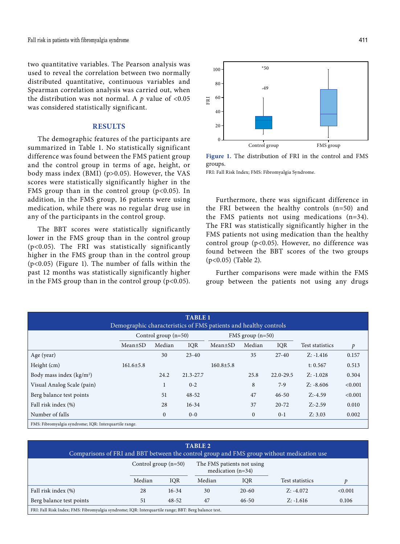two quantitative variables. The Pearson analysis was used to reveal the correlation between two normally distributed quantitative, continuous variables and Spearman correlation analysis was carried out, when the distribution was not normal. A  $p$  value of <0.05 was considered statistically significant.

## **RESULTS**

The demographic features of the participants are summarized in Table 1. No statistically significant difference was found between the FMS patient group and the control group in terms of age, height, or body mass index (BMI) (p>0.05). However, the VAS scores were statistically significantly higher in the FMS group than in the control group  $(p<0.05)$ . In addition, in the FMS group, 16 patients were using medication, while there was no regular drug use in any of the participants in the control group.

The BBT scores were statistically significantly lower in the FMS group than in the control group (p<0.05). The FRI was statistically significantly higher in the FMS group than in the control group (p<0.05) (Figure 1). The number of falls within the past 12 months was statistically significantly higher in the FMS group than in the control group ( $p<0.05$ ).



**Figure 1.** The distribution of FRI in the control and FMS groups.

FRI: Fall Risk Index; FMS: Fibromyalgia Syndrome.

Furthermore, there was significant difference in the FRI between the healthy controls (n=50) and the FMS patients not using medications (n=34). The FRI was statistically significantly higher in the FMS patients not using medication than the healthy control group  $(p<0.05)$ . However, no difference was found between the BBT scores of the two groups (p<0.05) (Table 2).

Further comparisons were made within the FMS group between the patients not using any drugs

| <b>TABLE 1</b><br>Demographic characteristics of FMS patients and healthy controls |                        |              |           |                    |              |               |                 |               |
|------------------------------------------------------------------------------------|------------------------|--------------|-----------|--------------------|--------------|---------------|-----------------|---------------|
|                                                                                    | Control group $(n=50)$ |              |           | FMS group $(n=50)$ |              |               |                 |               |
|                                                                                    | $Mean \pm SD$          | Median       | IOR       | $Mean \pm SD$      | Median       | IOR           | Test statistics | $\mathcal{P}$ |
| Age (year)                                                                         |                        | 30           | $23 - 40$ |                    | 35           | $27-40$       | $Z: -1.416$     | 0.157         |
| Height (cm)                                                                        | $161.6 \pm 5.8$        |              |           | $160.8 \pm 5.8$    |              |               | t: $0.567$      | 0.513         |
| Body mass index $(kg/m2)$                                                          |                        | 24.2         | 21.3-27.7 |                    | 25.8         | $22.0 - 29.5$ | $Z: -1.028$     | 0.304         |
| Visual Analog Scale (pain)                                                         |                        |              | $0 - 2$   |                    | 8            | $7-9$         | $Z: -8.606$     | < 0.001       |
| Berg balance test points                                                           |                        | 51           | $48 - 52$ |                    | 47           | $46 - 50$     | $Z: -4.59$      | < 0.001       |
| Fall risk index (%)                                                                |                        | 28           | $16 - 34$ |                    | 37           | $20 - 72$     | $Z: -2.59$      | 0.010         |
| Number of falls                                                                    |                        | $\mathbf{0}$ | $0 - 0$   |                    | $\mathbf{0}$ | $0-1$         | Z: 3.03         | 0.002         |
| FMS: Fibromyalgia syndrome; IQR: Interquartile range.                              |                        |              |           |                    |              |               |                 |               |

| <b>TABLE 2</b><br>Comparisons of FRI and BBT between the control group and FMS group without medication use |                                                                             |           |        |           |                 |         |  |
|-------------------------------------------------------------------------------------------------------------|-----------------------------------------------------------------------------|-----------|--------|-----------|-----------------|---------|--|
|                                                                                                             | Control group $(n=50)$<br>The FMS patients not using<br>medication $(n=34)$ |           |        |           |                 |         |  |
|                                                                                                             | Median                                                                      | IOR       | Median | IOR       | Test statistics | Ð       |  |
| Fall risk index (%)                                                                                         | 28                                                                          | $16 - 34$ | 30     | $20 - 60$ | $Z: -4.072$     | < 0.001 |  |
| Berg balance test points                                                                                    | 51                                                                          | $48 - 52$ | 47     | $46 - 50$ | $Z: -1.616$     | 0.106   |  |
| FRI: Fall Risk Index; FMS: Fibromyalgia syndrome; IQR: Interquartile range; BBT: Berg balance test.         |                                                                             |           |        |           |                 |         |  |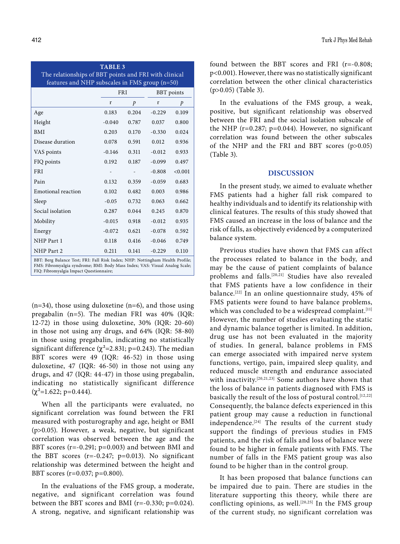| <b>TABLE 3</b>                                                                                          |            |               |                   |               |  |  |
|---------------------------------------------------------------------------------------------------------|------------|---------------|-------------------|---------------|--|--|
| The relationships of BBT points and FRI with clinical<br>features and NHP subscales in FMS group (n=50) |            |               |                   |               |  |  |
|                                                                                                         | <b>FRI</b> |               | <b>BBT</b> points |               |  |  |
|                                                                                                         | r          | $\mathcal{P}$ | r                 | $\mathcal{P}$ |  |  |
| Age                                                                                                     | 0.183      | 0.204         | $-0.229$          | 0.109         |  |  |
| Height                                                                                                  | $-0.040$   | 0.787         | 0.037             | 0.800         |  |  |
| <b>BMI</b>                                                                                              | 0.203      | 0.170         | $-0.330$          | 0.024         |  |  |
| Disease duration                                                                                        | 0.078      | 0.591         | 0.012             | 0.936         |  |  |
| VAS points                                                                                              | $-0.146$   | 0.311         | $-0.012$          | 0.933         |  |  |
| FIQ points                                                                                              | 0.192      | 0.187         | $-0.099$          | 0.497         |  |  |
| <b>FRI</b>                                                                                              |            |               | $-0.808$          | < 0.001       |  |  |
| Pain                                                                                                    | 0.132      | 0.359         | $-0.059$          | 0.683         |  |  |
| <b>Emotional</b> reaction                                                                               | 0.102      | 0.482         | 0.003             | 0.986         |  |  |
| Sleep                                                                                                   | $-0.05$    | 0.732         | 0.063             | 0.662         |  |  |
| Social isolation                                                                                        | 0.287      | 0.044         | 0.245             | 0.870         |  |  |
| Mobility                                                                                                | $-0.015$   | 0.918         | $-0.012$          | 0.935         |  |  |
| Energy                                                                                                  | $-0.072$   | 0.621         | $-0.078$          | 0.592         |  |  |
| NHP Part 1                                                                                              | 0.118      | 0.416         | $-0.046$          | 0.749         |  |  |
| NHP Part 2                                                                                              | 0.211      | 0.141         | $-0.229$          | 0.110         |  |  |

BBT: Berg Balance Test; FRI: Fall Risk Index; NHP: Nottingham Health Profile; FMS: Fibromyalgia syndrome; BMI: Body Mass Index; VAS: Visual Analog Scale; FIQ: Fibromyalgia Impact Questionnaire;

 $(n=34)$ , those using duloxetine  $(n=6)$ , and those using pregabalin (n=5). The median FRI was 40% (IQR: 12-72) in those using duloxetine, 30% (IQR: 20-60) in those not using any drugs, and 64% (IQR: 58-80) in those using pregabalin, indicating no statistically significant difference ( $\chi^2$ =2.831; p=0.243). The median BBT scores were 49 (IQR: 46-52) in those using duloxetine, 47 (IQR: 46-50) in those not using any drugs, and 47 (IQR: 44-47) in those using pregabalin, indicating no statistically significant difference  $(\chi^2=1.622; \, p=0.444).$ 

When all the participants were evaluated, no significant correlation was found between the FRI measured with posturography and age, height or BMI (p>0.05). However, a weak, negative, but significant correlation was observed between the age and the BBT scores (r=-0.291; p=0.003) and between BMI and the BBT scores  $(r=-0.247; p=0.013)$ . No significant relationship was determined between the height and BBT scores (r=0.037; p=0.800).

In the evaluations of the FMS group, a moderate, negative, and significant correlation was found between the BBT scores and BMI (r=-0.330; p=0.024). A strong, negative, and significant relationship was found between the BBT scores and FRI (r=-0.808; p<0.001). However, there was no statistically significant correlation between the other clinical characteristics (p>0.05) (Table 3).

In the evaluations of the FMS group, a weak, positive, but significant relationship was observed between the FRI and the social isolation subscale of the NHP ( $r=0.287$ ;  $p=0.044$ ). However, no significant correlation was found between the other subscales of the NHP and the FRI and BBT scores (p>0.05) (Table 3).

## **DISCUSSION**

In the present study, we aimed to evaluate whether FMS patients had a higher fall risk compared to healthy individuals and to identify its relationship with clinical features. The results of this study showed that FMS caused an increase in the loss of balance and the risk of falls, as objectively evidenced by a computerized balance system.

Previous studies have shown that FMS can affect the processes related to balance in the body, and may be the cause of patient complaints of balance problems and falls.[20,21] Studies have also revealed that FMS patients have a low confidence in their balance.[22] In an online questionnaire study, 45% of FMS patients were found to have balance problems, which was concluded to be a widespread complaint.<sup>[11]</sup> However, the number of studies evaluating the static and dynamic balance together is limited. In addition, drug use has not been evaluated in the majority of studies. In general, balance problems in FMS can emerge associated with impaired nerve system functions, vertigo, pain, impaired sleep quality, and reduced muscle strength and endurance associated with inactivity.<sup>[20,21,23]</sup> Some authors have shown that the loss of balance in patients diagnosed with FMS is basically the result of the loss of postural control.[12,22] Consequently, the balance defects experienced in this patient group may cause a reduction in functional independence.<sup>[24]</sup> The results of the current study support the findings of previous studies in FMS patients, and the risk of falls and loss of balance were found to be higher in female patients with FMS. The number of falls in the FMS patient group was also found to be higher than in the control group.

It has been proposed that balance functions can be impaired due to pain. There are studies in the literature supporting this theory, while there are conflicting opinions, as well.<sup>[20,25]</sup> In the FMS group of the current study, no significant correlation was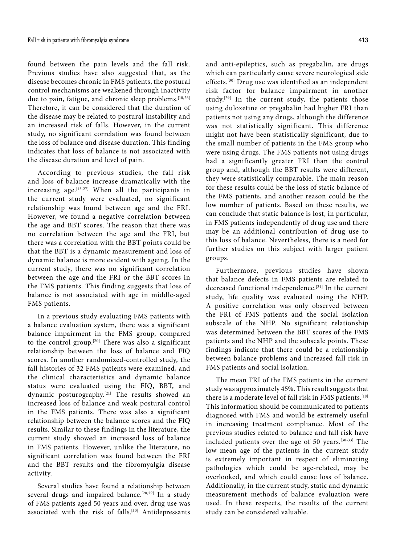found between the pain levels and the fall risk. Previous studies have also suggested that, as the disease becomes chronic in FMS patients, the postural control mechanisms are weakened through inactivity due to pain, fatigue, and chronic sleep problems.<sup>[10,26]</sup> Therefore, it can be considered that the duration of the disease may be related to postural instability and an increased risk of falls. However, in the current study, no significant correlation was found between the loss of balance and disease duration. This finding indicates that loss of balance is not associated with the disease duration and level of pain.

According to previous studies, the fall risk and loss of balance increase dramatically with the increasing age.  $[13,27]$  When all the participants in the current study were evaluated, no significant relationship was found between age and the FRI. However, we found a negative correlation between the age and BBT scores. The reason that there was no correlation between the age and the FRI, but there was a correlation with the BBT points could be that the BBT is a dynamic measurement and loss of dynamic balance is more evident with ageing. In the current study, there was no significant correlation between the age and the FRI or the BBT scores in the FMS patients. This finding suggests that loss of balance is not associated with age in middle-aged FMS patients.

In a previous study evaluating FMS patients with a balance evaluation system, there was a significant balance impairment in the FMS group, compared to the control group.[20] There was also a significant relationship between the loss of balance and FIQ scores. In another randomized-controlled study, the fall histories of 32 FMS patients were examined, and the clinical characteristics and dynamic balance status were evaluated using the FIQ, BBT, and dynamic posturography.[21] The results showed an increased loss of balance and weak postural control in the FMS patients. There was also a significant relationship between the balance scores and the FIQ results. Similar to these findings in the literature, the current study showed an increased loss of balance in FMS patients. However, unlike the literature, no significant correlation was found between the FRI and the BBT results and the fibromyalgia disease activity.

Several studies have found a relationship between several drugs and impaired balance.<sup>[28,29]</sup> In a study of FMS patients aged 50 years and over, drug use was associated with the risk of falls.<sup>[30]</sup> Antidepressants

and anti-epileptics, such as pregabalin, are drugs which can particularly cause severe neurological side effects.[30] Drug use was identified as an independent risk factor for balance impairment in another study.<sup>[29]</sup> In the current study, the patients those using duloxetine or pregabalin had higher FRI than patients not using any drugs, although the difference was not statistically significant. This difference might not have been statistically significant, due to the small number of patients in the FMS group who were using drugs. The FMS patients not using drugs had a significantly greater FRI than the control group and, although the BBT results were different, they were statistically comparable. The main reason for these results could be the loss of static balance of the FMS patients, and another reason could be the low number of patients. Based on these results, we can conclude that static balance is lost, in particular, in FMS patients independently of drug use and there may be an additional contribution of drug use to this loss of balance. Nevertheless, there is a need for further studies on this subject with larger patient groups.

Furthermore, previous studies have shown that balance defects in FMS patients are related to decreased functional independence.[24] In the current study, life quality was evaluated using the NHP. A positive correlation was only observed between the FRI of FMS patients and the social isolation subscale of the NHP. No significant relationship was determined between the BBT scores of the FMS patients and the NHP and the subscale points. These findings indicate that there could be a relationship between balance problems and increased fall risk in FMS patients and social isolation.

The mean FRI of the FMS patients in the current study was approximately 45%. This result suggests that there is a moderate level of fall risk in FMS patients.<sup>[18]</sup> This information should be communicated to patients diagnosed with FMS and would be extremely useful in increasing treatment compliance. Most of the previous studies related to balance and fall risk have included patients over the age of 50 years.[30-33] The low mean age of the patients in the current study is extremely important in respect of eliminating pathologies which could be age-related, may be overlooked, and which could cause loss of balance. Additionally, in the current study, static and dynamic measurement methods of balance evaluation were used. In these respects, the results of the current study can be considered valuable.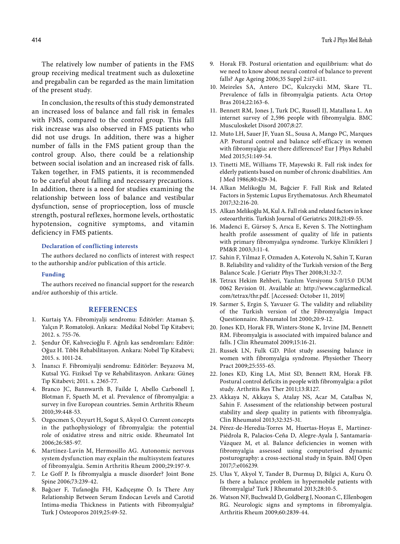The relatively low number of patients in the FMS group receiving medical treatment such as duloxetine and pregabalin can be regarded as the main limitation of the present study.

In conclusion, the results of this study demonstrated an increased loss of balance and fall risk in females with FMS, compared to the control group. This fall risk increase was also observed in FMS patients who did not use drugs. In addition, there was a higher number of falls in the FMS patient group than the control group. Also, there could be a relationship between social isolation and an increased risk of falls. Taken together, in FMS patients, it is recommended to be careful about falling and necessary precautions. In addition, there is a need for studies examining the relationship between loss of balance and vestibular dysfunction, sense of proprioception, loss of muscle strength, postural reflexes, hormone levels, orthostatic hypotension, cognitive symptoms, and vitamin deficiency in FMS patients.

#### **Declaration of conflicting interests**

The authors declared no conflicts of interest with respect to the authorship and/or publication of this article.

## **Funding**

The authors received no financial support for the research and/or authorship of this article.

### **REFERENCES**

- 1. Kurtaiş YA. Fibromiyalji sendromu: Editörler: Ataman Ş, Yalçın P. Romatoloji. Ankara: Medikal Nobel Tıp Kitabevi; 2012. s. 755-76.
- 2. Şendur ÖF, Kahvecioğlu F. Ağrılı kas sendromları: Editör: Oğuz H. Tıbbi Rehabilitasyon. Ankara: Nobel Tıp Kitabevi; 2015. s. 1011-24.
- 3. İnanıcı F. Fibromiyalji sendromu: Editörler: Beyazova M, Kutsal YG. Fiziksel Tıp ve Rehabilitasyon. Ankara: Güneş Tıp Kitabevi; 2011. s. 2365-77.
- 4. Branco JC, Bannwarth B, Failde I, Abello Carbonell J, Blotman F, Spaeth M, et al. Prevalence of fibromyalgia: a survey in five European countries. Semin Arthritis Rheum 2010;39:448-53.
- 5. Ozgocmen S, Ozyurt H, Sogut S, Akyol O. Current concepts in the pathophysiology of fibromyalgia: the potential role of oxidative stress and nitric oxide. Rheumatol Int 2006;26:585-97.
- 6. Martínez-Lavín M, Hermosillo AG. Autonomic nervous system dysfunction may explain the multisystem features of fibromyalgia. Semin Arthritis Rheum 2000;29:197-9.
- 7. Le Goff P. Is fibromyalgia a muscle disorder? Joint Bone Spine 2006;73:239-42.
- 8. Bağcıer F, Tufanoğlu FH, Kadıçeşme Ö. Is There Any Relationship Between Serum Endocan Levels and Carotid Intima-media Thickness in Patients with Fibromyalgia? Turk J Osteoporos 2019;25:49-52.
- 9. Horak FB. Postural orientation and equilibrium: what do we need to know about neural control of balance to prevent falls? Age Ageing 2006;35 Suppl 2:ii7-ii11.
- 10. Meireles SA, Antero DC, Kulczycki MM, Skare TL. Prevalence of falls in fibromyalgia patients. Acta Ortop Bras 2014;22:163-6.
- 11. Bennett RM, Jones J, Turk DC, Russell IJ, Matallana L. An internet survey of 2,596 people with fibromyalgia. BMC Musculoskelet Disord 2007;8:27.
- 12. Muto LH, Sauer JF, Yuan SL, Sousa A, Mango PC, Marques AP. Postural control and balance self-efficacy in women with fibromyalgia: are there differences? Eur J Phys Rehabil Med 2015;51:149-54.
- 13. Tinetti ME, Williams TF, Mayewski R. Fall risk index for elderly patients based on number of chronic disabilities. Am J Med 1986;80:429-34.
- 14. Alkan Melikoğlu M, Bağcier F. Fall Risk and Related Factors in Systemic Lupus Erythematosus. Arch Rheumatol 2017;32:216-20.
- 15. Alkan Melikoğlu M, Kul A. Fall risk and related factors in knee osteoarthritis. Turkish Journal of Geriatrics 2018;21:49-55.
- 16. Madenci E, Gürsoy S, Arıca E, Keven S. The Nottingham health profıle assessment of quality of life in patients with primary fibromyalgıa syndrome. Turkiye Klinikleri J PM&R 2003;3:11-4.
- 17. Sahin F, Yilmaz F, Ozmaden A, Kotevolu N, Sahin T, Kuran B. Reliability and validity of the Turkish version of the Berg Balance Scale. J Geriatr Phys Ther 2008;31:32-7.
- 18. Tetrax Hekim Rehberi, Yazılım Versiyonu 5.0/15.0 DUM 0062 Revision 01. Available at: http://www.caglarmedical. com/tetrax/thr.pdf. [Accessed: October 11, 2019]
- 19. Sarmer S, Ergin S, Yavuzer G. The validity and reliability of the Turkish version of the Fibromyalgia Impact Questionnaire. Rheumatol Int 2000;20:9-12.
- 20. Jones KD, Horak FB, Winters-Stone K, Irvine JM, Bennett RM. Fibromyalgia is associated with impaired balance and falls. J Clin Rheumatol 2009;15:16-21.
- 21. Russek LN, Fulk GD. Pilot study assessing balance in women with fibromyalgia syndrome. Physiother Theory Pract 2009;25:555-65.
- 22. Jones KD, King LA, Mist SD, Bennett RM, Horak FB. Postural control deficits in people with fibromyalgia: a pilot study. Arthritis Res Ther 2011;13:R127.
- 23. Akkaya N, Akkaya S, Atalay NS, Acar M, Catalbas N, Sahin F. Assessment of the relationship between postural stability and sleep quality in patients with fibromyalgia. Clin Rheumatol 2013;32:325-31.
- 24. Pérez-de-Heredia-Torres M, Huertas-Hoyas E, Martínez-Piédrola R, Palacios-Ceña D, Alegre-Ayala J, Santamaría-Vázquez M, et al. Balance deficiencies in women with fibromyalgia assessed using computerised dynamic posturography: a cross-sectional study in Spain. BMJ Open 2017;7:e016239.
- 25. Ulus Y, Akyol Y, Tander B, Durmuş D, Bilgici A, Kuru Ö. Is there a balance problem in hypermobile patients with fibromyalgia? Turk J Rheumatol 2013;28:10-5.
- 26. Watson NF, Buchwald D, Goldberg J, Noonan C, Ellenbogen RG. Neurologic signs and symptoms in fibromyalgia. Arthritis Rheum 2009;60:2839-44.